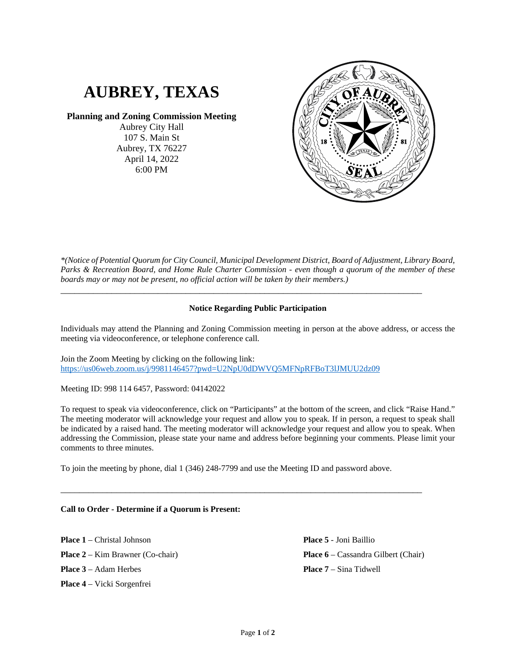# **AUBREY, TEXAS**

## **Planning and Zoning Commission Meeting**

Aubrey City Hall 107 S. Main St Aubrey, TX 76227 April 14, 2022 6:00 PM



*\*(Notice of Potential Quorum for City Council, Municipal Development District, Board of Adjustment, Library Board, Parks & Recreation Board, and Home Rule Charter Commission - even though a quorum of the member of these boards may or may not be present, no official action will be taken by their members.)*

### **Notice Regarding Public Participation**

\_\_\_\_\_\_\_\_\_\_\_\_\_\_\_\_\_\_\_\_\_\_\_\_\_\_\_\_\_\_\_\_\_\_\_\_\_\_\_\_\_\_\_\_\_\_\_\_\_\_\_\_\_\_\_\_\_\_\_\_\_\_\_\_\_\_\_\_\_\_\_\_\_\_\_\_\_\_

Individuals may attend the Planning and Zoning Commission meeting in person at the above address, or access the meeting via videoconference, or telephone conference call.

Join the Zoom Meeting by clicking on the following link: <https://us06web.zoom.us/j/9981146457?pwd=U2NpU0dDWVQ5MFNpRFBoT3lJMUU2dz09>

Meeting ID: 998 114 6457, Password: 04142022

To request to speak via videoconference, click on "Participants" at the bottom of the screen, and click "Raise Hand." The meeting moderator will acknowledge your request and allow you to speak. If in person, a request to speak shall be indicated by a raised hand. The meeting moderator will acknowledge your request and allow you to speak. When addressing the Commission, please state your name and address before beginning your comments. Please limit your comments to three minutes.

To join the meeting by phone, dial 1 (346) 248-7799 and use the Meeting ID and password above.

\_\_\_\_\_\_\_\_\_\_\_\_\_\_\_\_\_\_\_\_\_\_\_\_\_\_\_\_\_\_\_\_\_\_\_\_\_\_\_\_\_\_\_\_\_\_\_\_\_\_\_\_\_\_\_\_\_\_\_\_\_\_\_\_\_\_\_\_\_\_\_\_\_\_\_\_\_\_

## **Call to Order - Determine if a Quorum is Present:**

**Place 1** – Christal Johnson **Place 2** – Kim Brawner (Co-chair) **Place 3** – Adam Herbes **Place 4** – Vicki Sorgenfrei

**Place 5** - Joni Baillio **Place 6** – Cassandra Gilbert (Chair) **Place 7** – Sina Tidwell